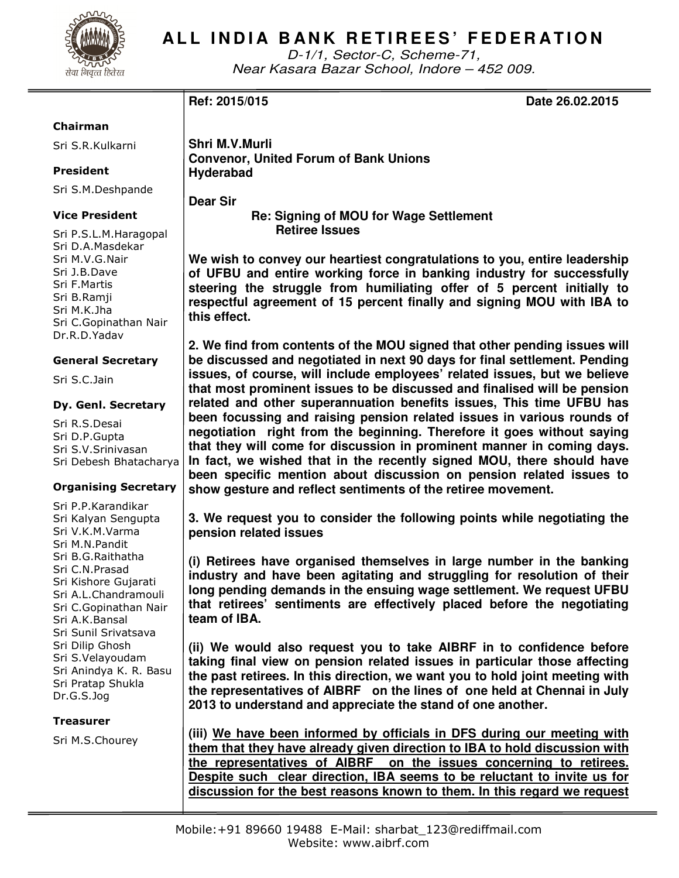

## **ALL INDIA BANK RETIREES' FEDERATION**

D-1/1, Sector-C, Scheme-71, Near Kasara Bazar School, Indore – 452 009.

**Ref: 2015/015 Date 26.02.2015** 

### Chairman

Sri S.R.Kulkarni

### President

Sri S.M.Deshpande

### Vice President

Sri P.S.L.M.Haragopal Sri D.A.Masdekar Sri M.V.G.Nair Sri J.B.Dave Sri F.Martis Sri B.Ramji Sri M.K.Jha Sri C.Gopinathan Nair Dr.R.D.Yadav

### General Secretary

Sri S.C.Jain

### Dy. Genl. Secretary

Sri R.S.Desai Sri D.P.Gupta Sri S.V.Srinivasan Sri Debesh Bhatacharya

### Organising Secretary

Sri P.P.Karandikar Sri Kalyan Sengupta Sri V.K.M.Varma Sri M.N.Pandit Sri B.G.Raithatha Sri C.N.Prasad Sri Kishore Gujarati Sri A.L.Chandramouli Sri C.Gopinathan Nair Sri A.K.Bansal Sri Sunil Srivatsava Sri Dilip Ghosh Sri S.Velayoudam Sri Anindya K. R. Basu Sri Pratap Shukla Dr.G.S.Jog

### Treasurer

Sri M.S.Chourey

**Shri M.V.Murli Convenor, United Forum of Bank Unions Hyderabad** 

**Dear Sir** 

 **Re: Signing of MOU for Wage Settlement Retiree Issues** 

**We wish to convey our heartiest congratulations to you, entire leadership of UFBU and entire working force in banking industry for successfully steering the struggle from humiliating offer of 5 percent initially to respectful agreement of 15 percent finally and signing MOU with IBA to this effect.** 

**2. We find from contents of the MOU signed that other pending issues will be discussed and negotiated in next 90 days for final settlement. Pending issues, of course, will include employees' related issues, but we believe that most prominent issues to be discussed and finalised will be pension related and other superannuation benefits issues, This time UFBU has been focussing and raising pension related issues in various rounds of negotiation right from the beginning. Therefore it goes without saying that they will come for discussion in prominent manner in coming days. In fact, we wished that in the recently signed MOU, there should have been specific mention about discussion on pension related issues to show gesture and reflect sentiments of the retiree movement.** 

**3. We request you to consider the following points while negotiating the pension related issues** 

**(i) Retirees have organised themselves in large number in the banking industry and have been agitating and struggling for resolution of their long pending demands in the ensuing wage settlement. We request UFBU that retirees' sentiments are effectively placed before the negotiating team of IBA.** 

**(ii) We would also request you to take AIBRF in to confidence before taking final view on pension related issues in particular those affecting the past retirees. In this direction, we want you to hold joint meeting with the representatives of AIBRF on the lines of one held at Chennai in July 2013 to understand and appreciate the stand of one another.** 

**(iii) We have been informed by officials in DFS during our meeting with them that they have already given direction to IBA to hold discussion with the representatives of AIBRF on the issues concerning to retirees. Despite such clear direction, IBA seems to be reluctant to invite us for discussion for the best reasons known to them. In this regard we request**